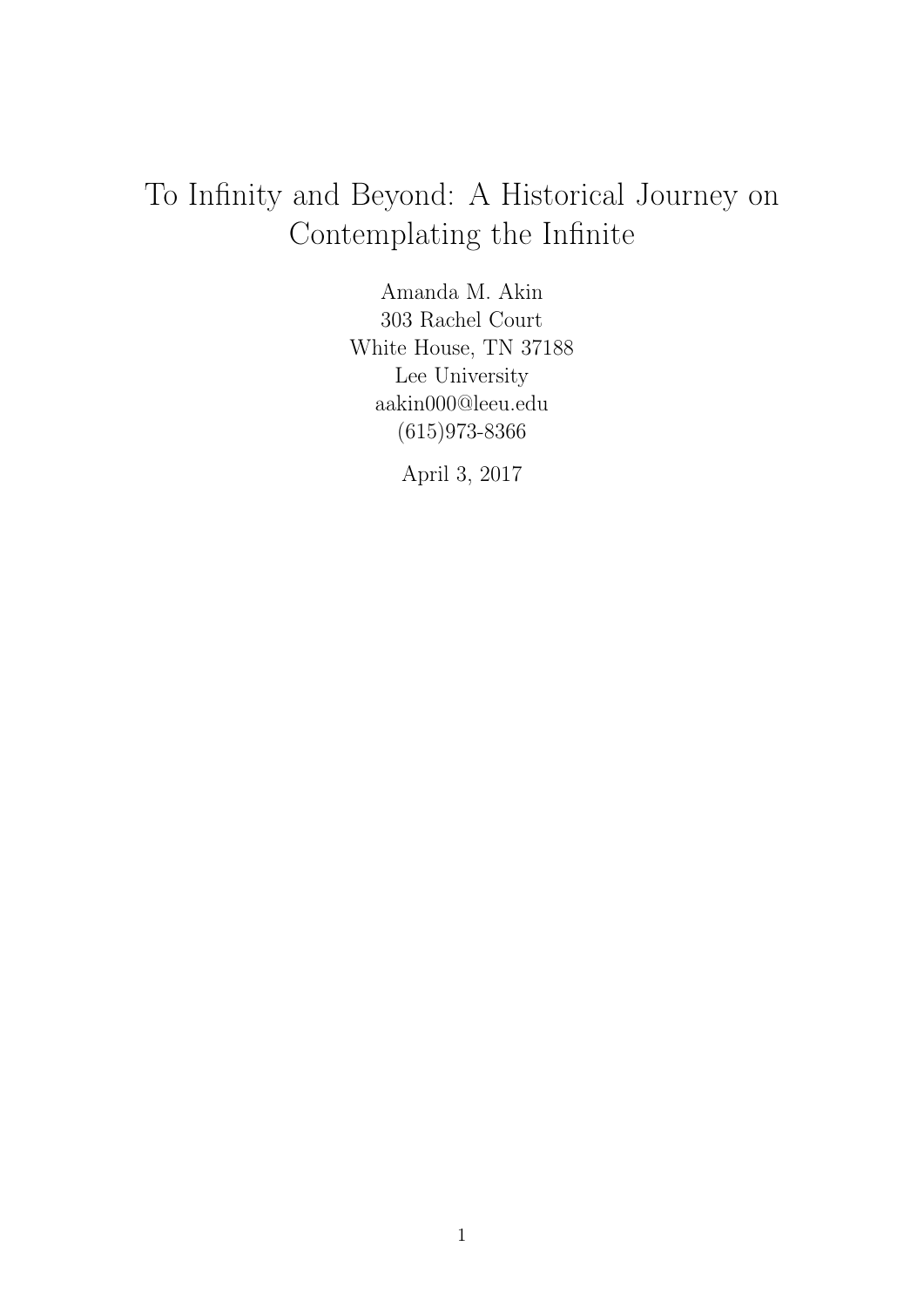# To Infinity and Beyond: A Historical Journey on Contemplating the Infinite

Amanda M. Akin 303 Rachel Court White House, TN 37188 Lee University aakin000@leeu.edu (615)973-8366

April 3, 2017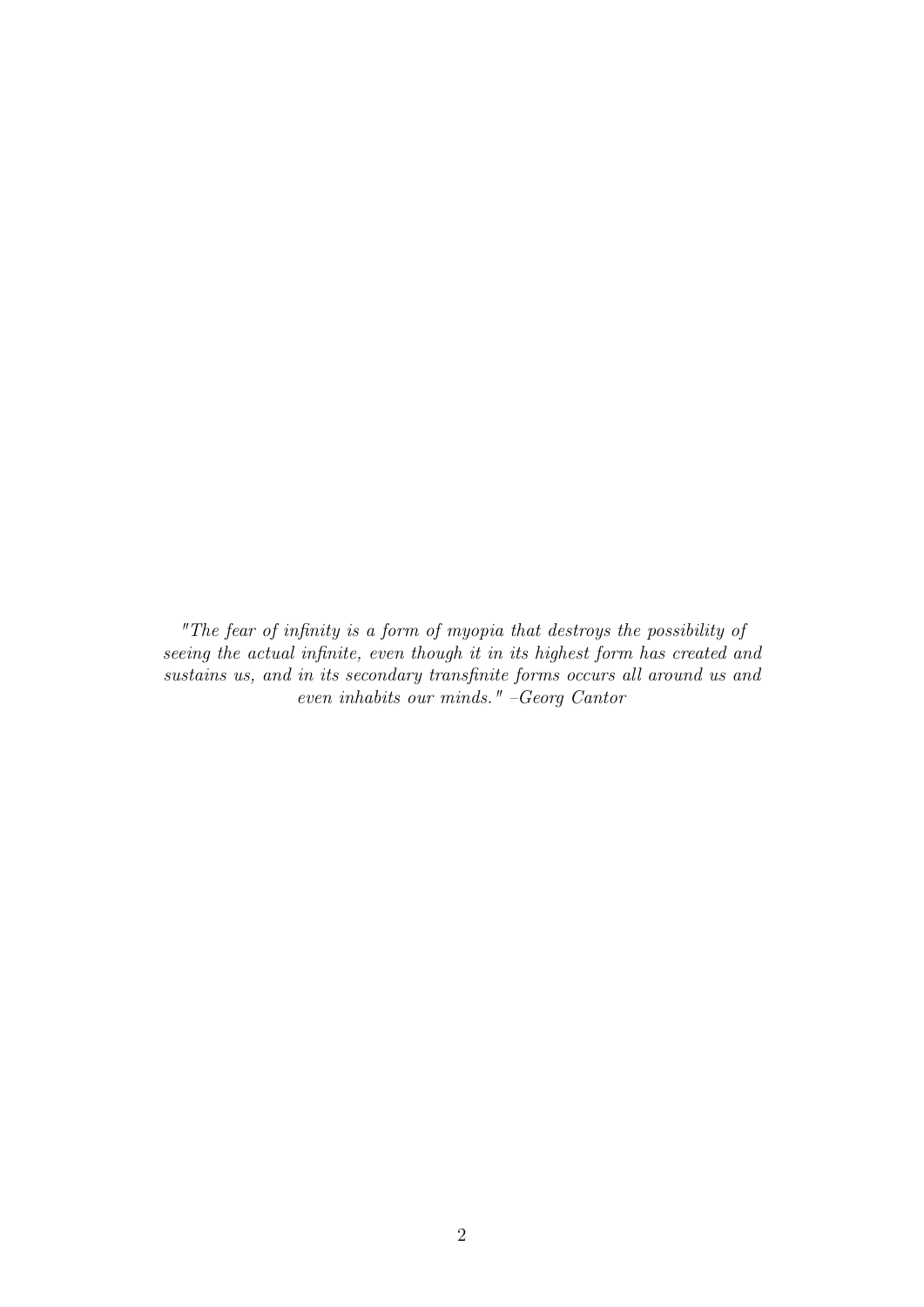"The fear of infinity is a form of myopia that destroys the possibility of seeing the actual infinite, even though it in its highest form has created and sustains us, and in its secondary transfinite forms occurs all around us and even inhabits our minds." –Georg Cantor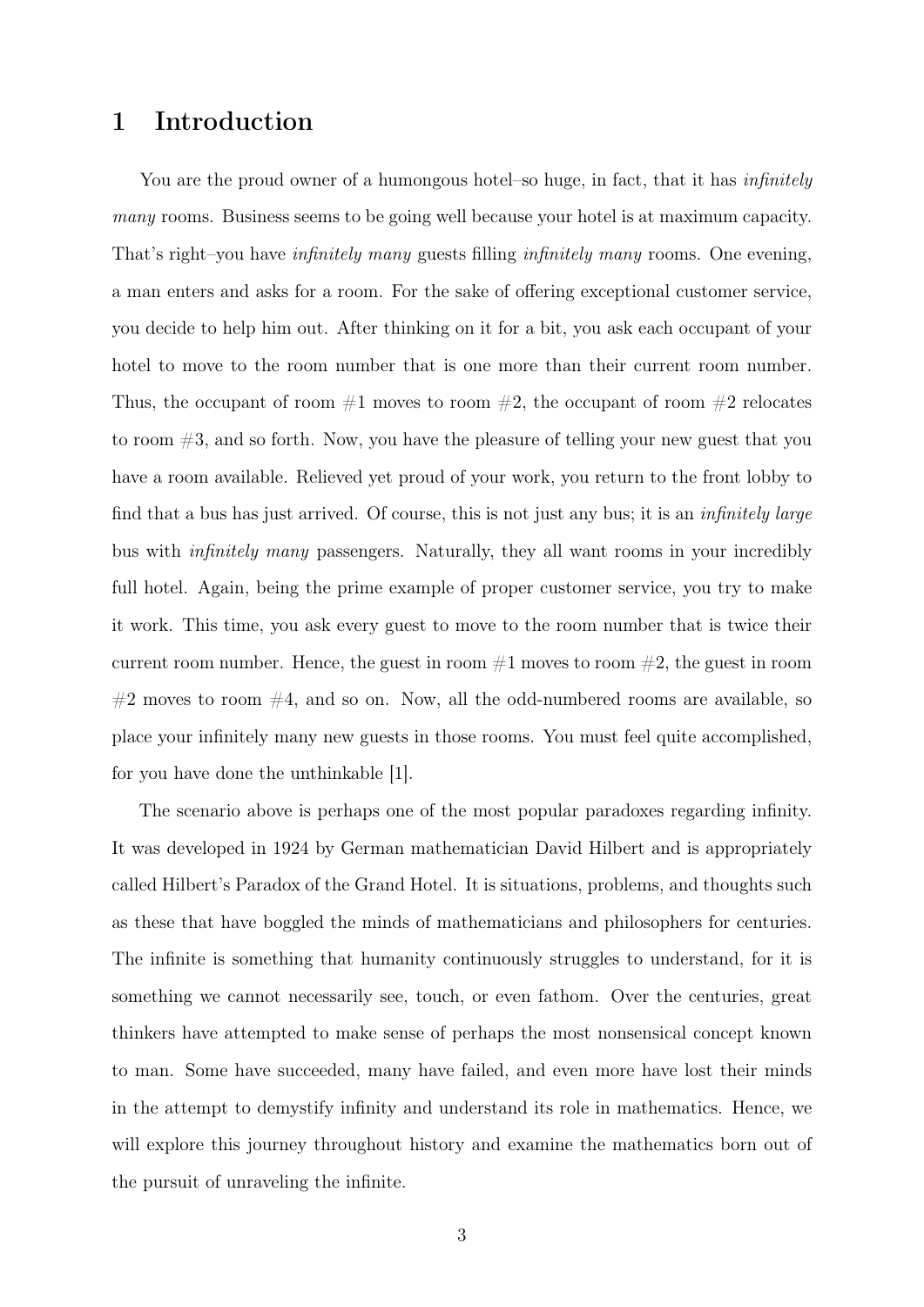# 1 Introduction

You are the proud owner of a humongous hotel–so huge, in fact, that it has *infinitely* many rooms. Business seems to be going well because your hotel is at maximum capacity. That's right–you have infinitely many guests filling infinitely many rooms. One evening, a man enters and asks for a room. For the sake of offering exceptional customer service, you decide to help him out. After thinking on it for a bit, you ask each occupant of your hotel to move to the room number that is one more than their current room number. Thus, the occupant of room  $#1$  moves to room  $#2$ , the occupant of room  $#2$  relocates to room  $#3$ , and so forth. Now, you have the pleasure of telling your new guest that you have a room available. Relieved yet proud of your work, you return to the front lobby to find that a bus has just arrived. Of course, this is not just any bus; it is an infinitely large bus with infinitely many passengers. Naturally, they all want rooms in your incredibly full hotel. Again, being the prime example of proper customer service, you try to make it work. This time, you ask every guest to move to the room number that is twice their current room number. Hence, the guest in room  $#1$  moves to room  $#2$ , the guest in room  $#2$  moves to room  $#4$ , and so on. Now, all the odd-numbered rooms are available, so place your infinitely many new guests in those rooms. You must feel quite accomplished, for you have done the unthinkable [\[1\]](#page-17-0).

The scenario above is perhaps one of the most popular paradoxes regarding infinity. It was developed in 1924 by German mathematician David Hilbert and is appropriately called Hilbert's Paradox of the Grand Hotel. It is situations, problems, and thoughts such as these that have boggled the minds of mathematicians and philosophers for centuries. The infinite is something that humanity continuously struggles to understand, for it is something we cannot necessarily see, touch, or even fathom. Over the centuries, great thinkers have attempted to make sense of perhaps the most nonsensical concept known to man. Some have succeeded, many have failed, and even more have lost their minds in the attempt to demystify infinity and understand its role in mathematics. Hence, we will explore this journey throughout history and examine the mathematics born out of the pursuit of unraveling the infinite.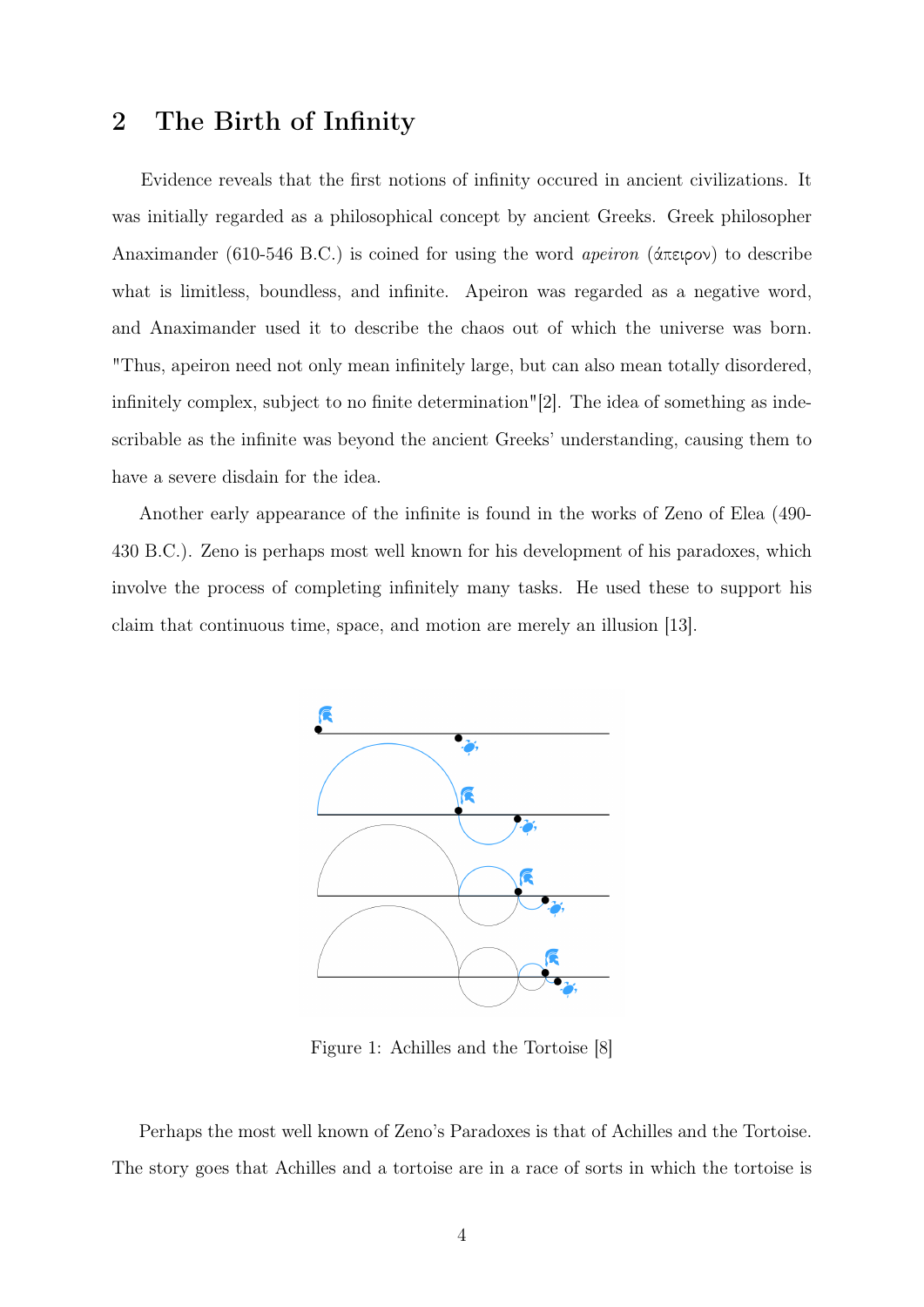# 2 The Birth of Infinity

Evidence reveals that the first notions of infinity occured in ancient civilizations. It was initially regarded as a philosophical concept by ancient Greeks. Greek philosopher Anaximander (610-546 B.C.) is coined for using the word apeiron (άπειρον) to describe what is limitless, boundless, and infinite. Apeiron was regarded as a negative word, and Anaximander used it to describe the chaos out of which the universe was born. "Thus, apeiron need not only mean infinitely large, but can also mean totally disordered, infinitely complex, subject to no finite determination"[\[2\]](#page-17-1). The idea of something as indescribable as the infinite was beyond the ancient Greeks' understanding, causing them to have a severe disdain for the idea.

Another early appearance of the infinite is found in the works of Zeno of Elea (490- 430 B.C.). Zeno is perhaps most well known for his development of his paradoxes, which involve the process of completing infinitely many tasks. He used these to support his claim that continuous time, space, and motion are merely an illusion [\[13\]](#page-18-0).



Figure 1: Achilles and the Tortoise [\[8\]](#page-18-1)

Perhaps the most well known of Zeno's Paradoxes is that of Achilles and the Tortoise. The story goes that Achilles and a tortoise are in a race of sorts in which the tortoise is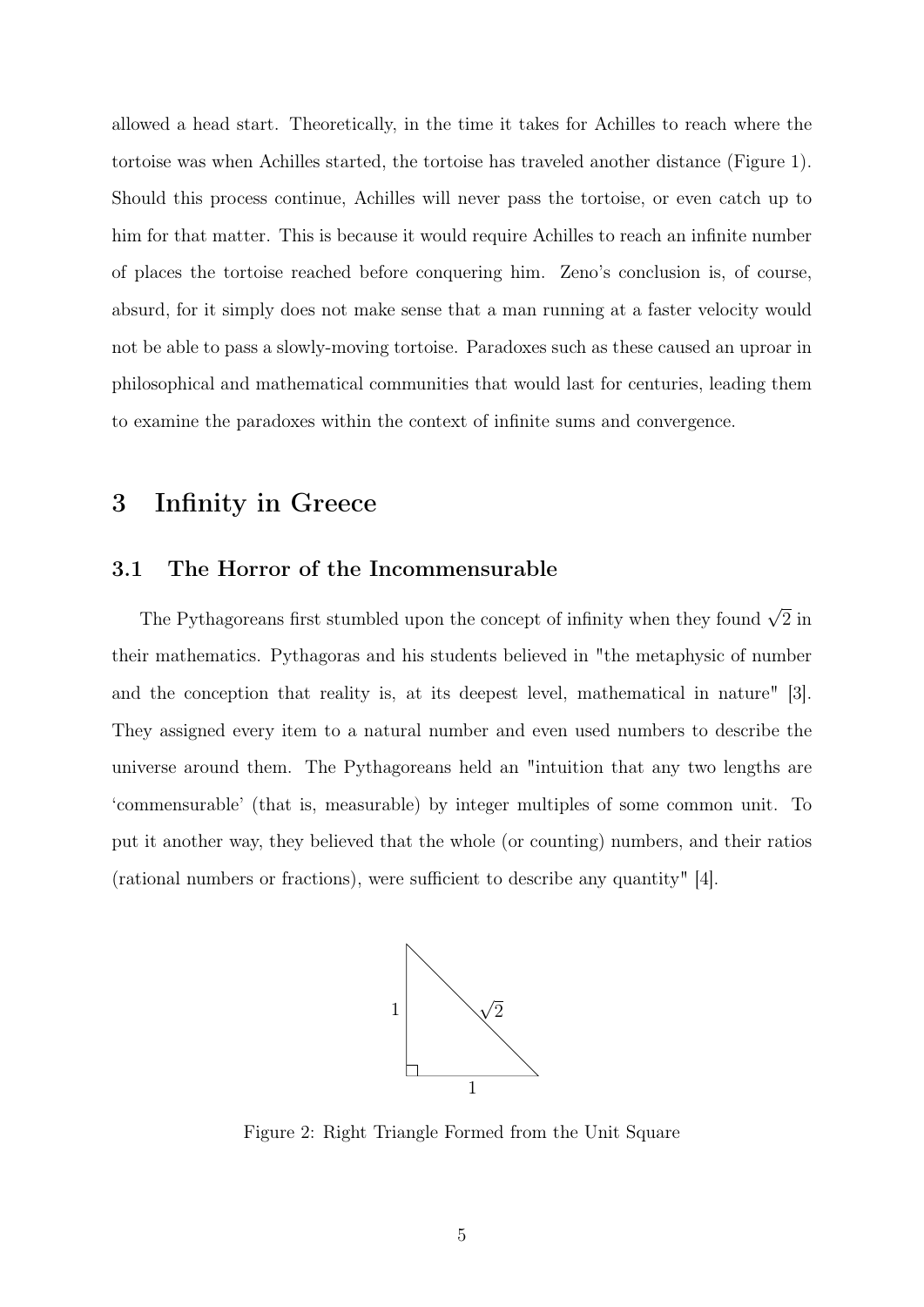allowed a head start. Theoretically, in the time it takes for Achilles to reach where the tortoise was when Achilles started, the tortoise has traveled another distance (Figure 1). Should this process continue, Achilles will never pass the tortoise, or even catch up to him for that matter. This is because it would require Achilles to reach an infinite number of places the tortoise reached before conquering him. Zeno's conclusion is, of course, absurd, for it simply does not make sense that a man running at a faster velocity would not be able to pass a slowly-moving tortoise. Paradoxes such as these caused an uproar in philosophical and mathematical communities that would last for centuries, leading them to examine the paradoxes within the context of infinite sums and convergence.

# 3 Infinity in Greece

### 3.1 The Horror of the Incommensurable

The Pythagoreans first stumbled upon the concept of infinity when they found  $\sqrt{2}$  in their mathematics. Pythagoras and his students believed in "the metaphysic of number and the conception that reality is, at its deepest level, mathematical in nature" [\[3\]](#page-18-2). They assigned every item to a natural number and even used numbers to describe the universe around them. The Pythagoreans held an "intuition that any two lengths are 'commensurable' (that is, measurable) by integer multiples of some common unit. To put it another way, they believed that the whole (or counting) numbers, and their ratios (rational numbers or fractions), were sufficient to describe any quantity" [\[4\]](#page-18-3).



Figure 2: Right Triangle Formed from the Unit Square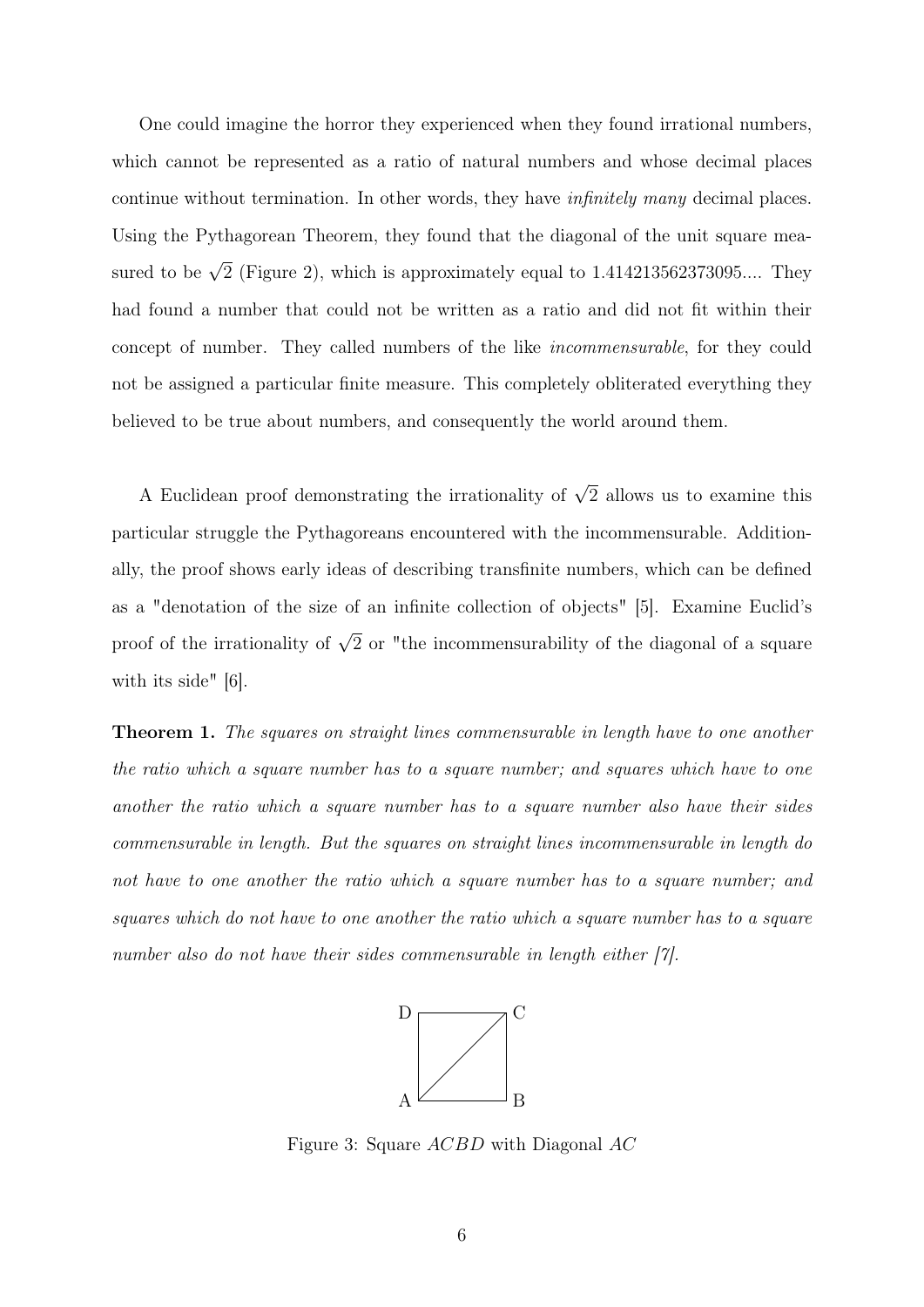One could imagine the horror they experienced when they found irrational numbers, which cannot be represented as a ratio of natural numbers and whose decimal places continue without termination. In other words, they have infinitely many decimal places. Using the Pythagorean Theorem, they found that the diagonal of the unit square measured to be  $\sqrt{2}$  (Figure 2), which is approximately equal to 1.414213562373095.... They had found a number that could not be written as a ratio and did not fit within their concept of number. They called numbers of the like incommensurable, for they could not be assigned a particular finite measure. This completely obliterated everything they believed to be true about numbers, and consequently the world around them.

A Euclidean proof demonstrating the irrationality of  $\sqrt{2}$  allows us to examine this particular struggle the Pythagoreans encountered with the incommensurable. Additionally, the proof shows early ideas of describing transfinite numbers, which can be defined as a "denotation of the size of an infinite collection of objects" [\[5\]](#page-18-4). Examine Euclid's proof of the irrationality of  $\sqrt{2}$  or "the incommensurability of the diagonal of a square with its side" [\[6\]](#page-18-5).

**Theorem 1.** The squares on straight lines commensurable in length have to one another the ratio which a square number has to a square number; and squares which have to one another the ratio which a square number has to a square number also have their sides commensurable in length. But the squares on straight lines incommensurable in length do not have to one another the ratio which a square number has to a square number; and squares which do not have to one another the ratio which a square number has to a square number also do not have their sides commensurable in length either [\[7\]](#page-18-6).



Figure 3: Square ACBD with Diagonal AC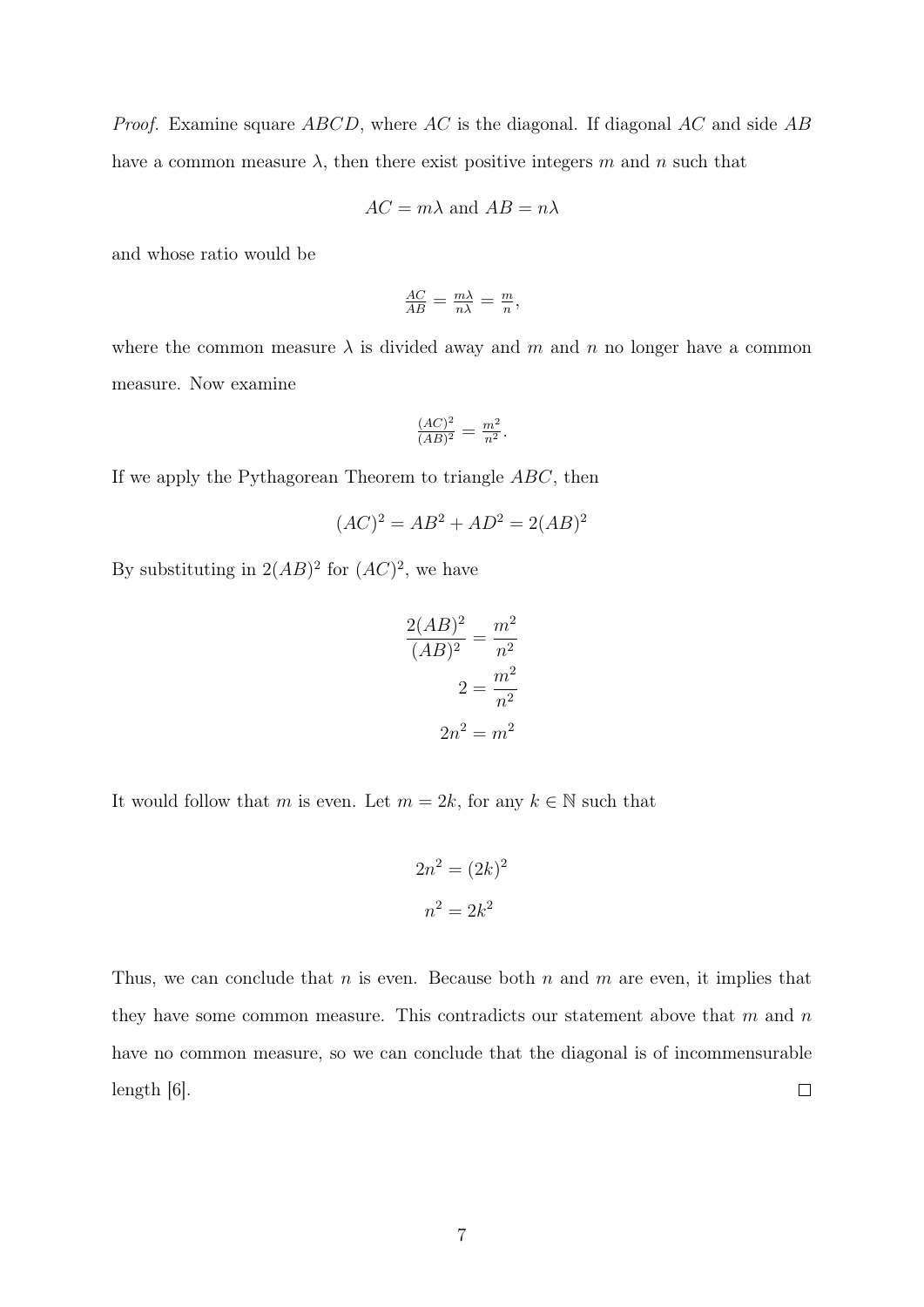*Proof.* Examine square  $ABCD$ , where AC is the diagonal. If diagonal AC and side AB have a common measure  $\lambda$ , then there exist positive integers m and n such that

$$
AC = m\lambda
$$
 and  $AB = n\lambda$ 

and whose ratio would be

$$
\frac{AC}{AB} = \frac{m\lambda}{n\lambda} = \frac{m}{n},
$$

where the common measure  $\lambda$  is divided away and m and n no longer have a common measure. Now examine

$$
\frac{(AC)^2}{(AB)^2} = \frac{m^2}{n^2}.
$$

If we apply the Pythagorean Theorem to triangle ABC, then

$$
(AC)^2 = AB^2 + AD^2 = 2(AB)^2
$$

By substituting in  $2(AB)^2$  for  $(AC)^2$ , we have

$$
\frac{2(AB)^2}{(AB)^2} = \frac{m^2}{n^2}
$$

$$
2 = \frac{m^2}{n^2}
$$

$$
2n^2 = m^2
$$

It would follow that m is even. Let  $m = 2k$ , for any  $k \in \mathbb{N}$  such that

$$
2n^2 = (2k)^2
$$

$$
n^2 = 2k^2
$$

Thus, we can conclude that n is even. Because both  $n$  and  $m$  are even, it implies that they have some common measure. This contradicts our statement above that  $m$  and  $n$ have no common measure, so we can conclude that the diagonal is of incommensurable  $\Box$ length  $|6|$ .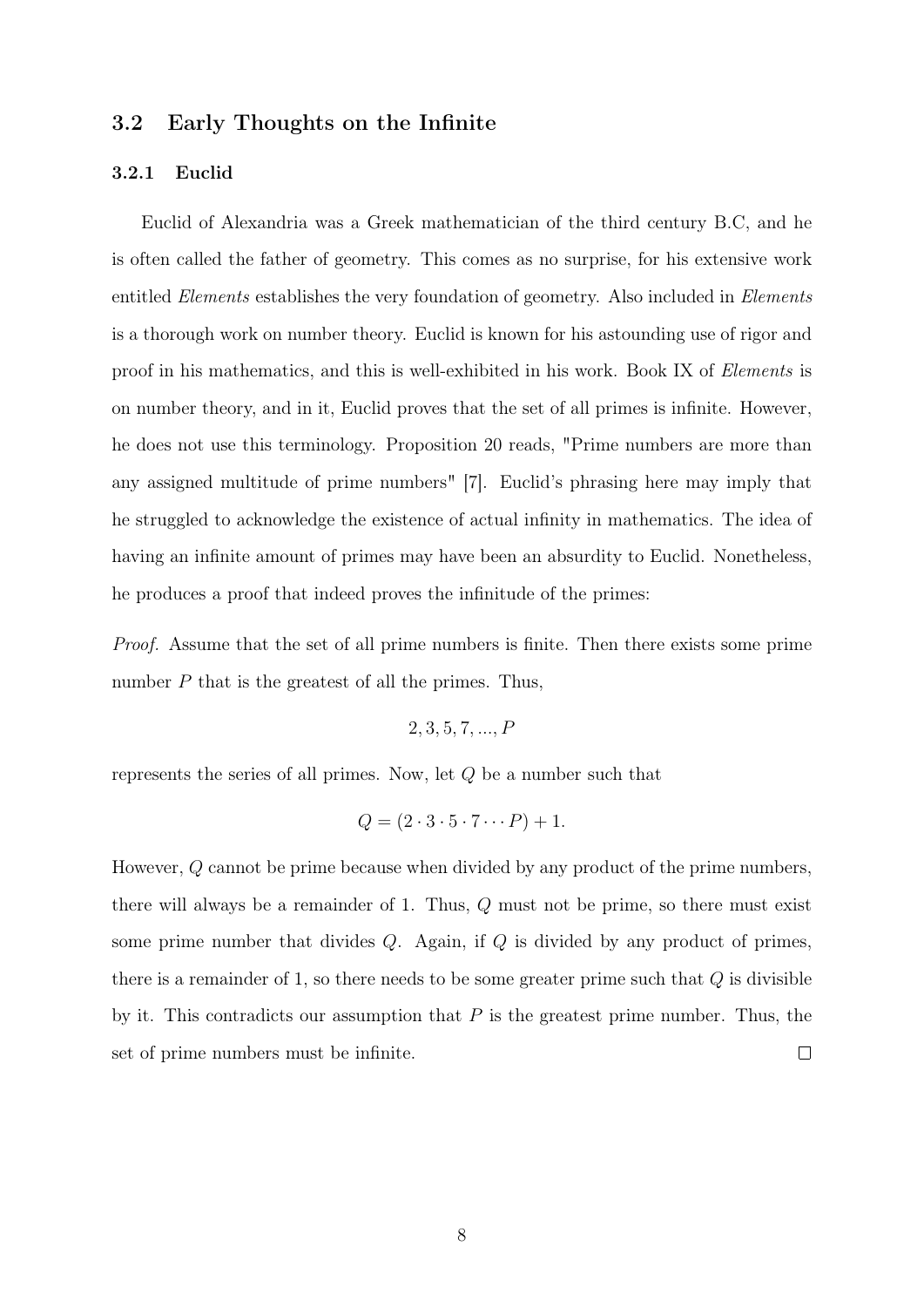### 3.2 Early Thoughts on the Infinite

#### 3.2.1 Euclid

Euclid of Alexandria was a Greek mathematician of the third century B.C, and he is often called the father of geometry. This comes as no surprise, for his extensive work entitled *Elements* establishes the very foundation of geometry. Also included in *Elements* is a thorough work on number theory. Euclid is known for his astounding use of rigor and proof in his mathematics, and this is well-exhibited in his work. Book IX of Elements is on number theory, and in it, Euclid proves that the set of all primes is infinite. However, he does not use this terminology. Proposition 20 reads, "Prime numbers are more than any assigned multitude of prime numbers" [\[7\]](#page-18-6). Euclid's phrasing here may imply that he struggled to acknowledge the existence of actual infinity in mathematics. The idea of having an infinite amount of primes may have been an absurdity to Euclid. Nonetheless, he produces a proof that indeed proves the infinitude of the primes:

Proof. Assume that the set of all prime numbers is finite. Then there exists some prime number  $P$  that is the greatest of all the primes. Thus,

2, 3, 5, 7, ..., P

represents the series of all primes. Now, let Q be a number such that

$$
Q = (2 \cdot 3 \cdot 5 \cdot 7 \cdots P) + 1.
$$

However, Q cannot be prime because when divided by any product of the prime numbers, there will always be a remainder of 1. Thus, Q must not be prime, so there must exist some prime number that divides  $Q$ . Again, if  $Q$  is divided by any product of primes, there is a remainder of 1, so there needs to be some greater prime such that  $Q$  is divisible by it. This contradicts our assumption that  $P$  is the greatest prime number. Thus, the set of prime numbers must be infinite.  $\Box$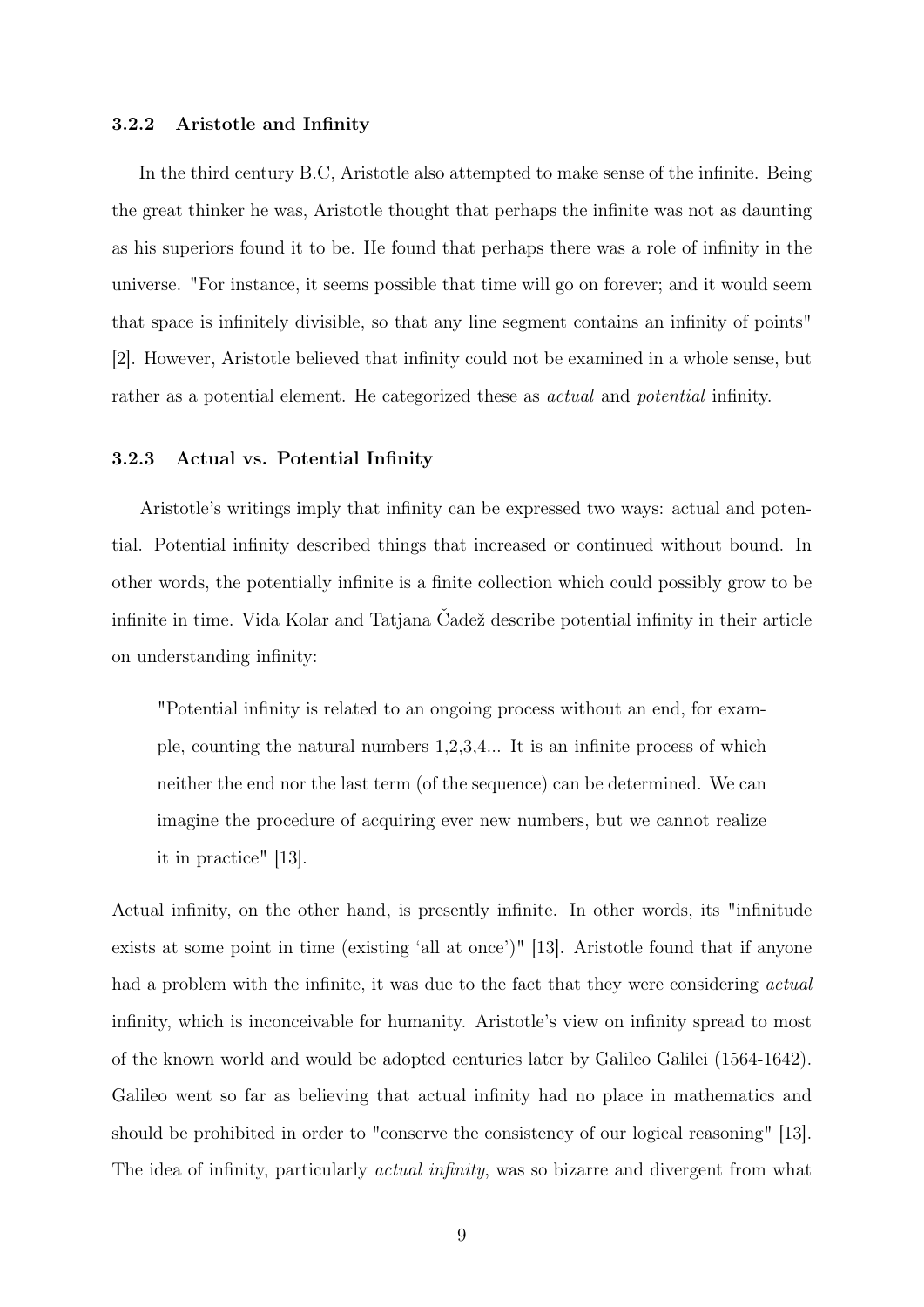#### 3.2.2 Aristotle and Infinity

In the third century B.C, Aristotle also attempted to make sense of the infinite. Being the great thinker he was, Aristotle thought that perhaps the infinite was not as daunting as his superiors found it to be. He found that perhaps there was a role of infinity in the universe. "For instance, it seems possible that time will go on forever; and it would seem that space is infinitely divisible, so that any line segment contains an infinity of points" [\[2\]](#page-17-1). However, Aristotle believed that infinity could not be examined in a whole sense, but rather as a potential element. He categorized these as actual and potential infinity.

#### 3.2.3 Actual vs. Potential Infinity

Aristotle's writings imply that infinity can be expressed two ways: actual and potential. Potential infinity described things that increased or continued without bound. In other words, the potentially infinite is a finite collection which could possibly grow to be infinite in time. Vida Kolar and Tatjana Čadež describe potential infinity in their article on understanding infinity:

"Potential infinity is related to an ongoing process without an end, for example, counting the natural numbers 1,2,3,4... It is an infinite process of which neither the end nor the last term (of the sequence) can be determined. We can imagine the procedure of acquiring ever new numbers, but we cannot realize it in practice" [\[13\]](#page-18-0).

Actual infinity, on the other hand, is presently infinite. In other words, its "infinitude exists at some point in time (existing 'all at once')" [\[13\]](#page-18-0). Aristotle found that if anyone had a problem with the infinite, it was due to the fact that they were considering *actual* infinity, which is inconceivable for humanity. Aristotle's view on infinity spread to most of the known world and would be adopted centuries later by Galileo Galilei (1564-1642). Galileo went so far as believing that actual infinity had no place in mathematics and should be prohibited in order to "conserve the consistency of our logical reasoning" [\[13\]](#page-18-0). The idea of infinity, particularly *actual infinity*, was so bizarre and divergent from what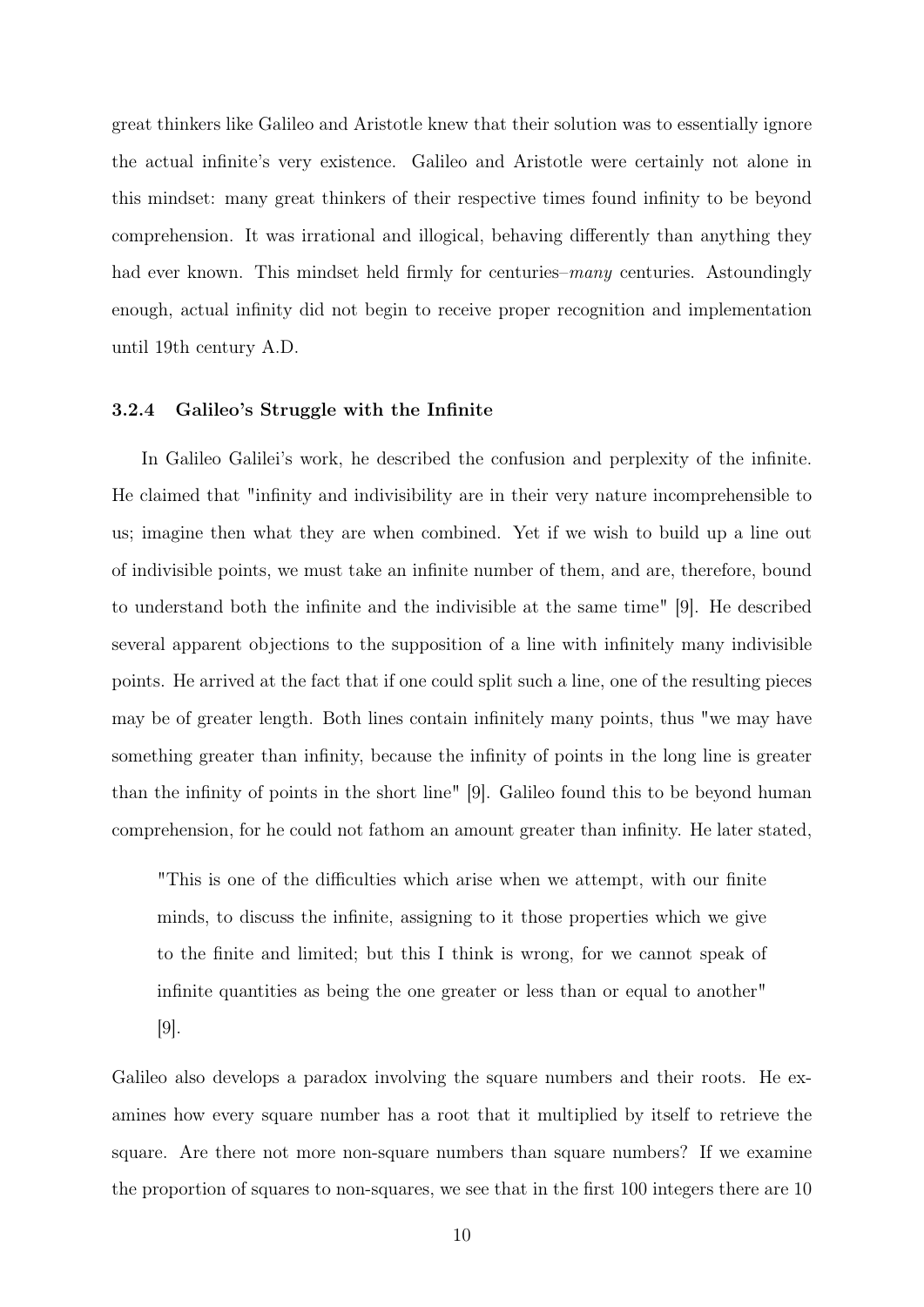great thinkers like Galileo and Aristotle knew that their solution was to essentially ignore the actual infinite's very existence. Galileo and Aristotle were certainly not alone in this mindset: many great thinkers of their respective times found infinity to be beyond comprehension. It was irrational and illogical, behaving differently than anything they had ever known. This mindset held firmly for centuries–*many* centuries. Astoundingly enough, actual infinity did not begin to receive proper recognition and implementation until 19th century A.D.

#### 3.2.4 Galileo's Struggle with the Infinite

In Galileo Galilei's work, he described the confusion and perplexity of the infinite. He claimed that "infinity and indivisibility are in their very nature incomprehensible to us; imagine then what they are when combined. Yet if we wish to build up a line out of indivisible points, we must take an infinite number of them, and are, therefore, bound to understand both the infinite and the indivisible at the same time" [\[9\]](#page-18-7). He described several apparent objections to the supposition of a line with infinitely many indivisible points. He arrived at the fact that if one could split such a line, one of the resulting pieces may be of greater length. Both lines contain infinitely many points, thus "we may have something greater than infinity, because the infinity of points in the long line is greater than the infinity of points in the short line" [\[9\]](#page-18-7). Galileo found this to be beyond human comprehension, for he could not fathom an amount greater than infinity. He later stated,

"This is one of the difficulties which arise when we attempt, with our finite minds, to discuss the infinite, assigning to it those properties which we give to the finite and limited; but this I think is wrong, for we cannot speak of infinite quantities as being the one greater or less than or equal to another"

[\[9\]](#page-18-7).

Galileo also develops a paradox involving the square numbers and their roots. He examines how every square number has a root that it multiplied by itself to retrieve the square. Are there not more non-square numbers than square numbers? If we examine the proportion of squares to non-squares, we see that in the first 100 integers there are 10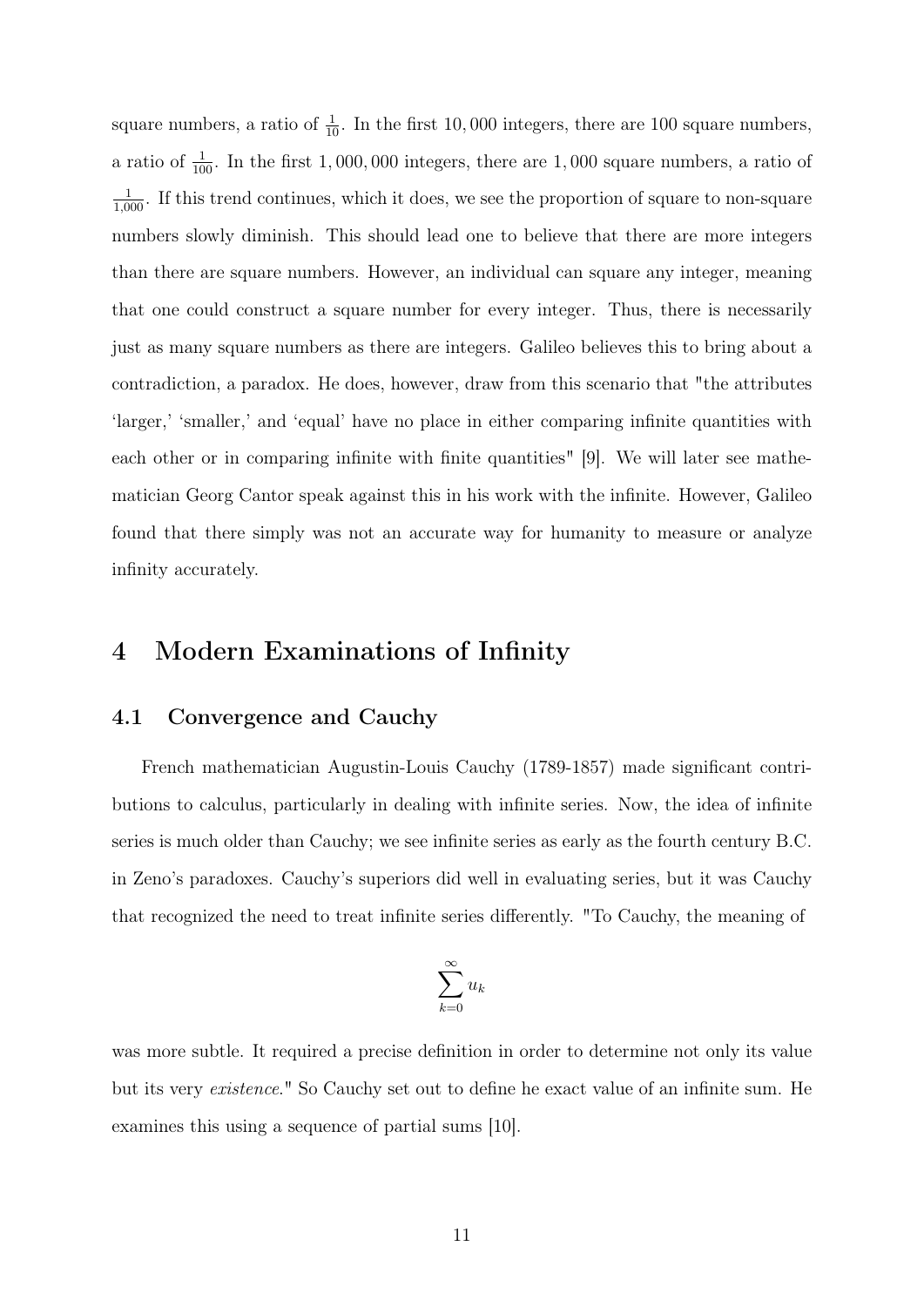square numbers, a ratio of  $\frac{1}{10}$ . In the first 10,000 integers, there are 100 square numbers, a ratio of  $\frac{1}{100}$ . In the first 1,000,000 integers, there are 1,000 square numbers, a ratio of  $\frac{1}{1,000}$ . If this trend continues, which it does, we see the proportion of square to non-square numbers slowly diminish. This should lead one to believe that there are more integers than there are square numbers. However, an individual can square any integer, meaning that one could construct a square number for every integer. Thus, there is necessarily just as many square numbers as there are integers. Galileo believes this to bring about a contradiction, a paradox. He does, however, draw from this scenario that "the attributes 'larger,' 'smaller,' and 'equal' have no place in either comparing infinite quantities with each other or in comparing infinite with finite quantities" [\[9\]](#page-18-7). We will later see mathematician Georg Cantor speak against this in his work with the infinite. However, Galileo found that there simply was not an accurate way for humanity to measure or analyze infinity accurately.

### 4 Modern Examinations of Infinity

### 4.1 Convergence and Cauchy

French mathematician Augustin-Louis Cauchy (1789-1857) made significant contributions to calculus, particularly in dealing with infinite series. Now, the idea of infinite series is much older than Cauchy; we see infinite series as early as the fourth century B.C. in Zeno's paradoxes. Cauchy's superiors did well in evaluating series, but it was Cauchy that recognized the need to treat infinite series differently. "To Cauchy, the meaning of

$$
\sum_{k=0}^{\infty} u_k
$$

was more subtle. It required a precise definition in order to determine not only its value but its very existence." So Cauchy set out to define he exact value of an infinite sum. He examines this using a sequence of partial sums [\[10\]](#page-18-8).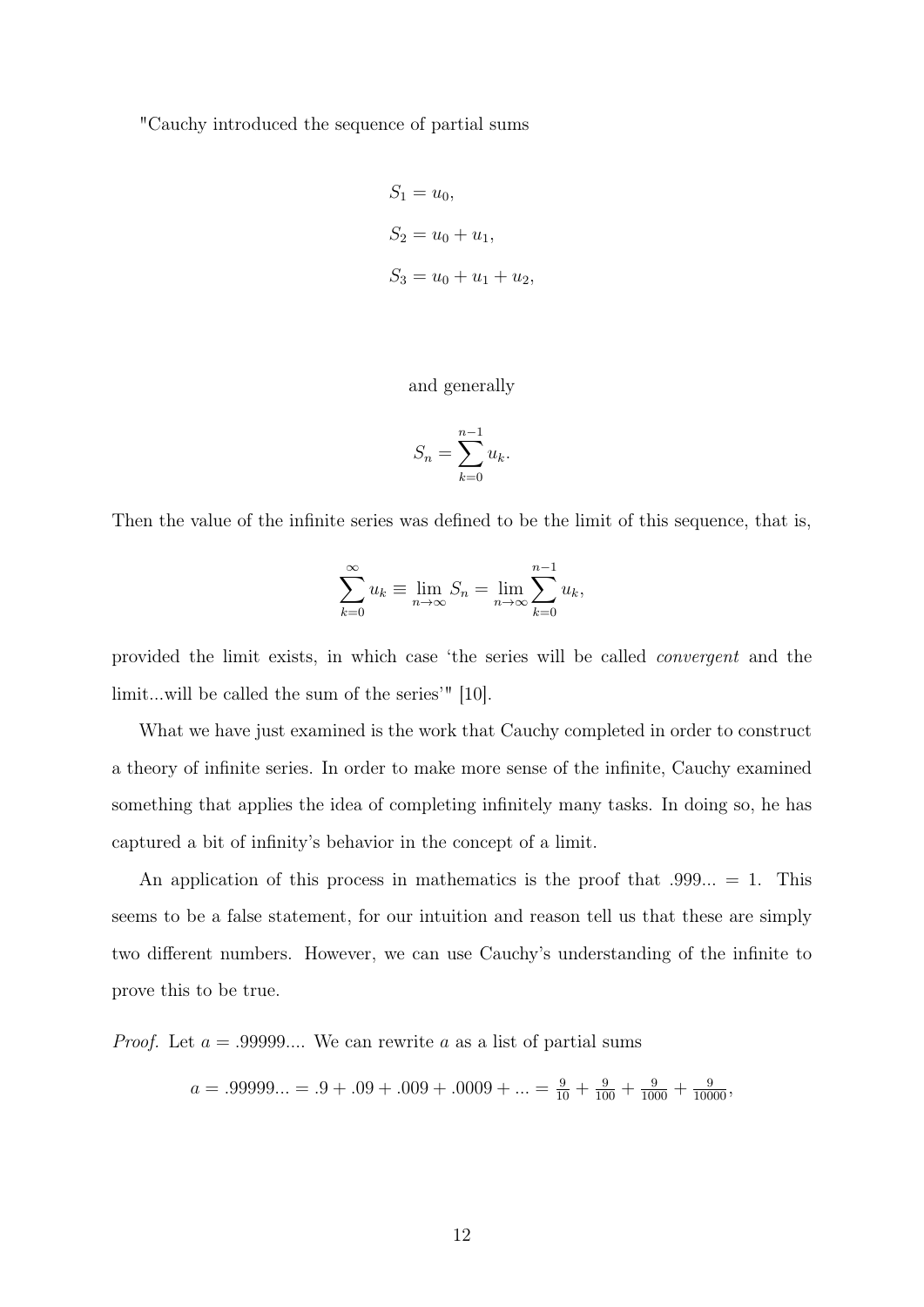"Cauchy introduced the sequence of partial sums

$$
S_1 = u_0,
$$
  
\n
$$
S_2 = u_0 + u_1,
$$
  
\n
$$
S_3 = u_0 + u_1 + u_2,
$$

#### and generally

$$
S_n = \sum_{k=0}^{n-1} u_k.
$$

Then the value of the infinite series was defined to be the limit of this sequence, that is,

$$
\sum_{k=0}^{\infty} u_k \equiv \lim_{n \to \infty} S_n = \lim_{n \to \infty} \sum_{k=0}^{n-1} u_k,
$$

provided the limit exists, in which case 'the series will be called convergent and the limit...will be called the sum of the series'" [\[10\]](#page-18-8).

What we have just examined is the work that Cauchy completed in order to construct a theory of infinite series. In order to make more sense of the infinite, Cauchy examined something that applies the idea of completing infinitely many tasks. In doing so, he has captured a bit of infinity's behavior in the concept of a limit.

An application of this process in mathematics is the proof that  $.999... = 1$ . This seems to be a false statement, for our intuition and reason tell us that these are simply two different numbers. However, we can use Cauchy's understanding of the infinite to prove this to be true.

*Proof.* Let  $a = .99999...$  We can rewrite a as a list of partial sums

$$
a = .99999... = .9 + .09 + .009 + .0009 + ... = \frac{9}{10} + \frac{9}{100} + \frac{9}{1000} + \frac{9}{10000}
$$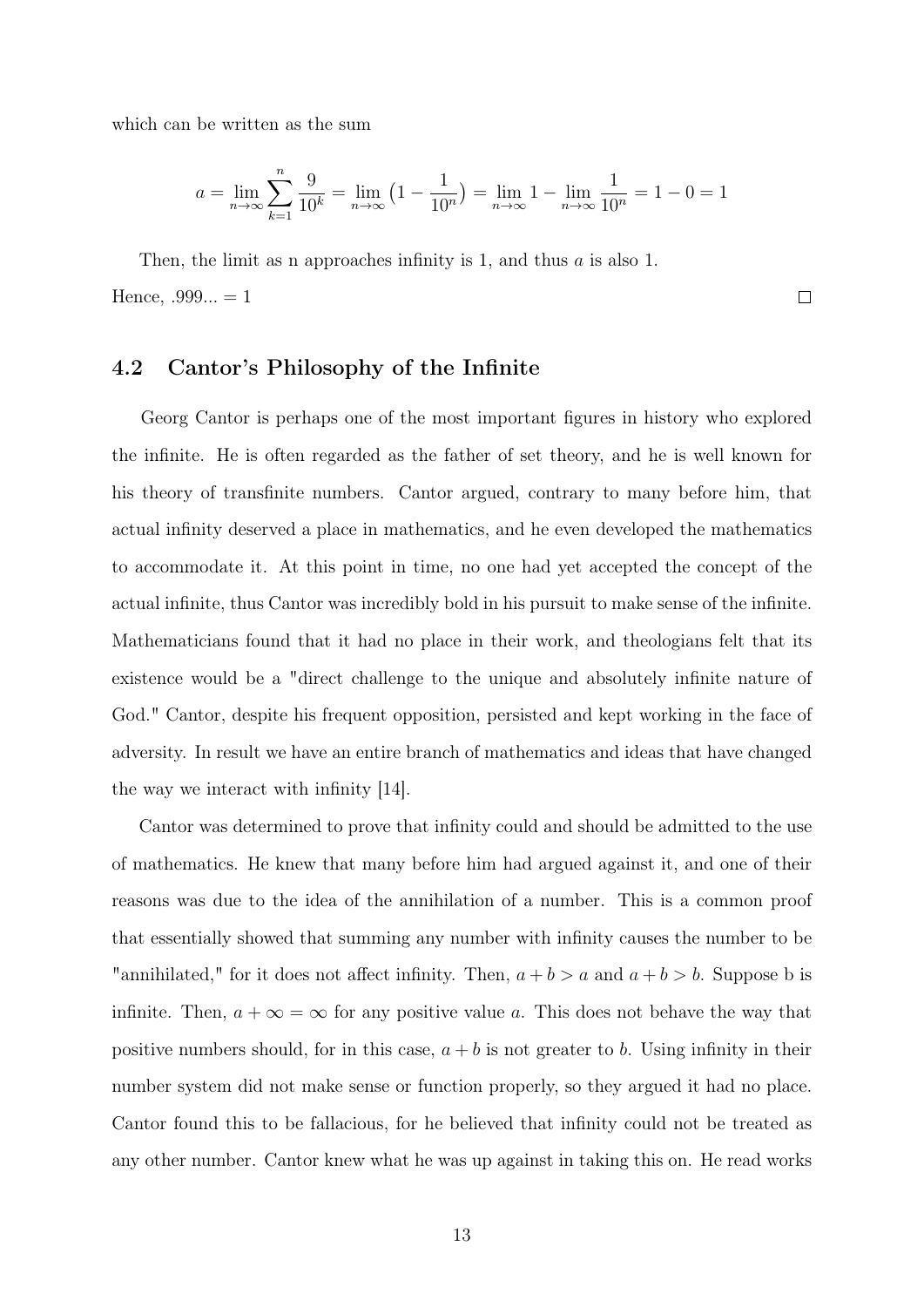which can be written as the sum

$$
a = \lim_{n \to \infty} \sum_{k=1}^{n} \frac{9}{10^k} = \lim_{n \to \infty} \left( 1 - \frac{1}{10^n} \right) = \lim_{n \to \infty} 1 - \lim_{n \to \infty} \frac{1}{10^n} = 1 - 0 = 1
$$

 $\Box$ 

Then, the limit as n approaches infinity is 1, and thus a is also 1. Hence,  $.999... = 1$ 

### 4.2 Cantor's Philosophy of the Infinite

Georg Cantor is perhaps one of the most important figures in history who explored the infinite. He is often regarded as the father of set theory, and he is well known for his theory of transfinite numbers. Cantor argued, contrary to many before him, that actual infinity deserved a place in mathematics, and he even developed the mathematics to accommodate it. At this point in time, no one had yet accepted the concept of the actual infinite, thus Cantor was incredibly bold in his pursuit to make sense of the infinite. Mathematicians found that it had no place in their work, and theologians felt that its existence would be a "direct challenge to the unique and absolutely infinite nature of God." Cantor, despite his frequent opposition, persisted and kept working in the face of adversity. In result we have an entire branch of mathematics and ideas that have changed the way we interact with infinity [\[14\]](#page-18-9).

Cantor was determined to prove that infinity could and should be admitted to the use of mathematics. He knew that many before him had argued against it, and one of their reasons was due to the idea of the annihilation of a number. This is a common proof that essentially showed that summing any number with infinity causes the number to be "annihilated," for it does not affect infinity. Then,  $a + b > a$  and  $a + b > b$ . Suppose b is infinite. Then,  $a + \infty = \infty$  for any positive value a. This does not behave the way that positive numbers should, for in this case,  $a + b$  is not greater to b. Using infinity in their number system did not make sense or function properly, so they argued it had no place. Cantor found this to be fallacious, for he believed that infinity could not be treated as any other number. Cantor knew what he was up against in taking this on. He read works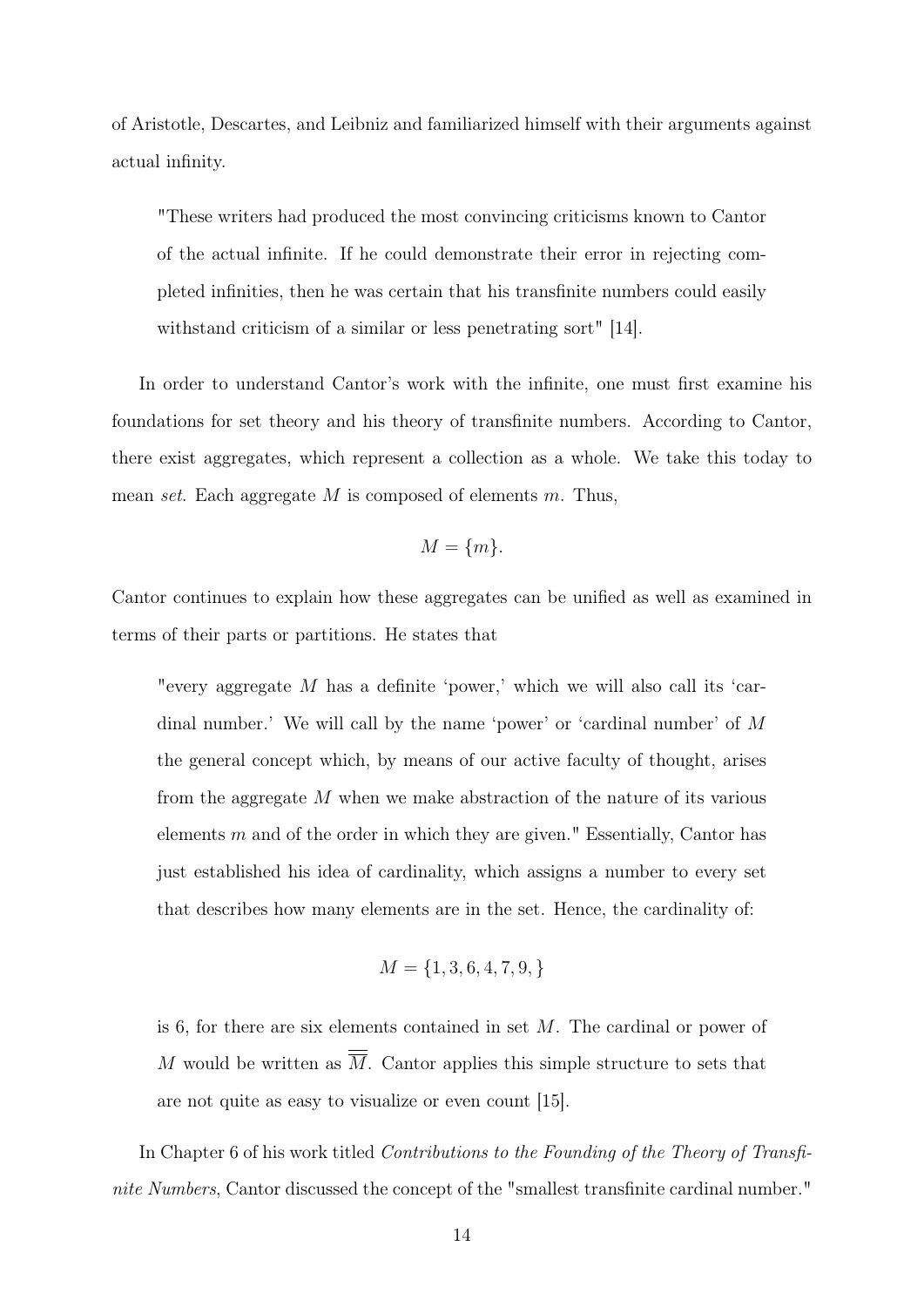of Aristotle, Descartes, and Leibniz and familiarized himself with their arguments against actual infinity.

"These writers had produced the most convincing criticisms known to Cantor of the actual infinite. If he could demonstrate their error in rejecting completed infinities, then he was certain that his transfinite numbers could easily withstand criticism of a similar or less penetrating sort" [\[14\]](#page-18-9).

In order to understand Cantor's work with the infinite, one must first examine his foundations for set theory and his theory of transfinite numbers. According to Cantor, there exist aggregates, which represent a collection as a whole. We take this today to mean set. Each aggregate  $M$  is composed of elements  $m$ . Thus,

$$
M = \{m\}.
$$

Cantor continues to explain how these aggregates can be unified as well as examined in terms of their parts or partitions. He states that

"every aggregate  $M$  has a definite 'power,' which we will also call its 'cardinal number.' We will call by the name 'power' or 'cardinal number' of M the general concept which, by means of our active faculty of thought, arises from the aggregate M when we make abstraction of the nature of its various elements  $m$  and of the order in which they are given." Essentially, Cantor has just established his idea of cardinality, which assigns a number to every set that describes how many elements are in the set. Hence, the cardinality of:

$$
M = \{1, 3, 6, 4, 7, 9, \}
$$

is 6, for there are six elements contained in set  $M$ . The cardinal or power of M would be written as  $\overline{M}$ . Cantor applies this simple structure to sets that are not quite as easy to visualize or even count [\[15\]](#page-19-0).

In Chapter 6 of his work titled *Contributions to the Founding of the Theory of Transfi*nite Numbers, Cantor discussed the concept of the "smallest transfinite cardinal number."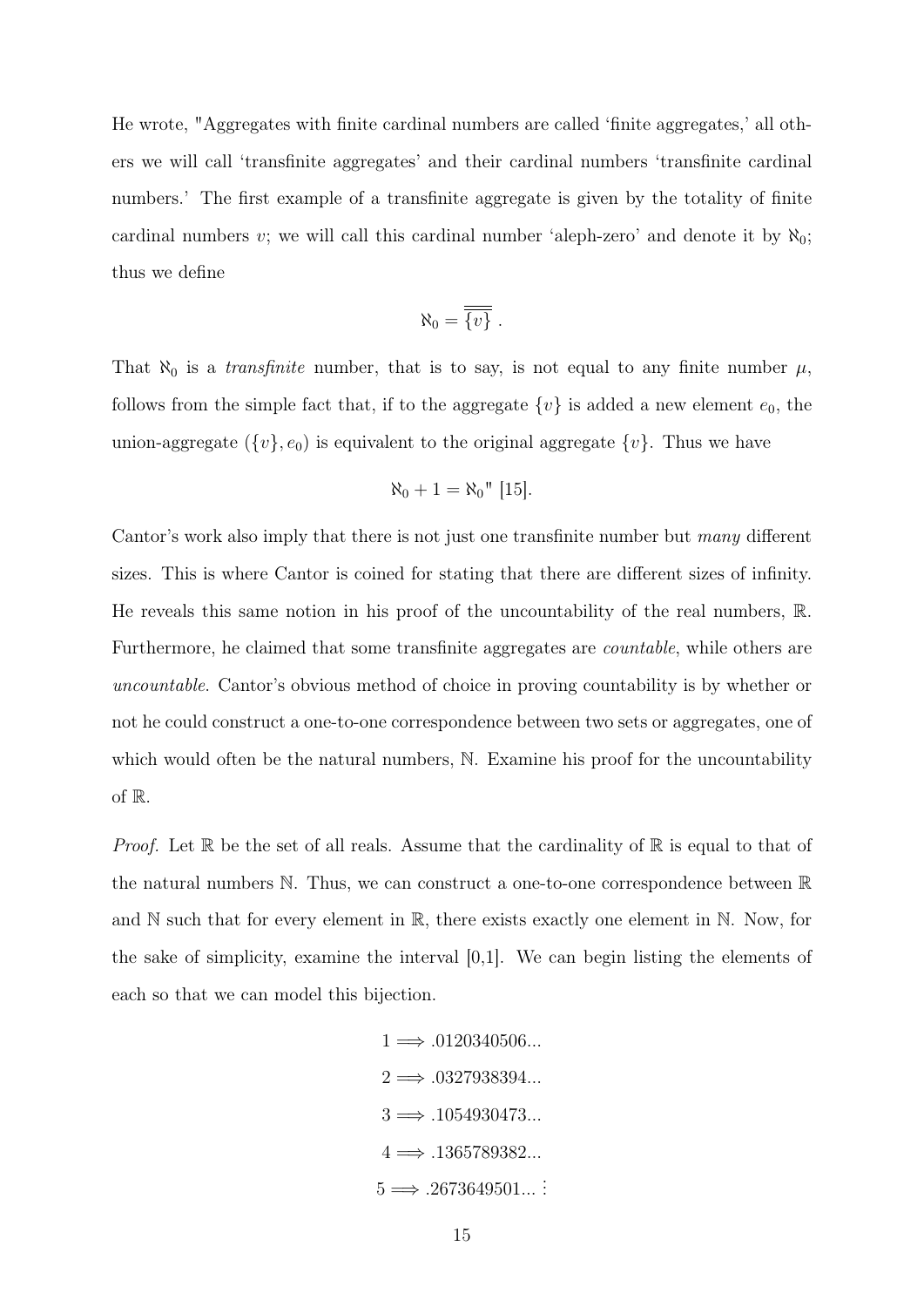He wrote, "Aggregates with finite cardinal numbers are called 'finite aggregates,' all others we will call 'transfinite aggregates' and their cardinal numbers 'transfinite cardinal numbers.' The first example of a transfinite aggregate is given by the totality of finite cardinal numbers v; we will call this cardinal number 'aleph-zero' and denote it by  $\aleph_0$ ; thus we define

$$
\aleph_0 = \overline{\overline{\{v\}}}.
$$

That  $\aleph_0$  is a *transfinite* number, that is to say, is not equal to any finite number  $\mu$ , follows from the simple fact that, if to the aggregate  $\{v\}$  is added a new element  $e_0$ , the union-aggregate  $({v}, e_0)$  is equivalent to the original aggregate  ${v}$ . Thus we have

$$
\aleph_0 + 1 = \aleph_0" [15].
$$

Cantor's work also imply that there is not just one transfinite number but many different sizes. This is where Cantor is coined for stating that there are different sizes of infinity. He reveals this same notion in his proof of the uncountability of the real numbers, R. Furthermore, he claimed that some transfinite aggregates are *countable*, while others are uncountable. Cantor's obvious method of choice in proving countability is by whether or not he could construct a one-to-one correspondence between two sets or aggregates, one of which would often be the natural numbers, N. Examine his proof for the uncountability of R.

*Proof.* Let  $\mathbb R$  be the set of all reals. Assume that the cardinality of  $\mathbb R$  is equal to that of the natural numbers N. Thus, we can construct a one-to-one correspondence between R and N such that for every element in R, there exists exactly one element in N. Now, for the sake of simplicity, examine the interval  $[0,1]$ . We can begin listing the elements of each so that we can model this bijection.

> $1 \Longrightarrow .0120340506...$  $2 \Longrightarrow .0327938394...$  $3 \implies 0.1054930473...$  $4 \Longrightarrow .1365789382...$  $5 \Longrightarrow .2673649501...$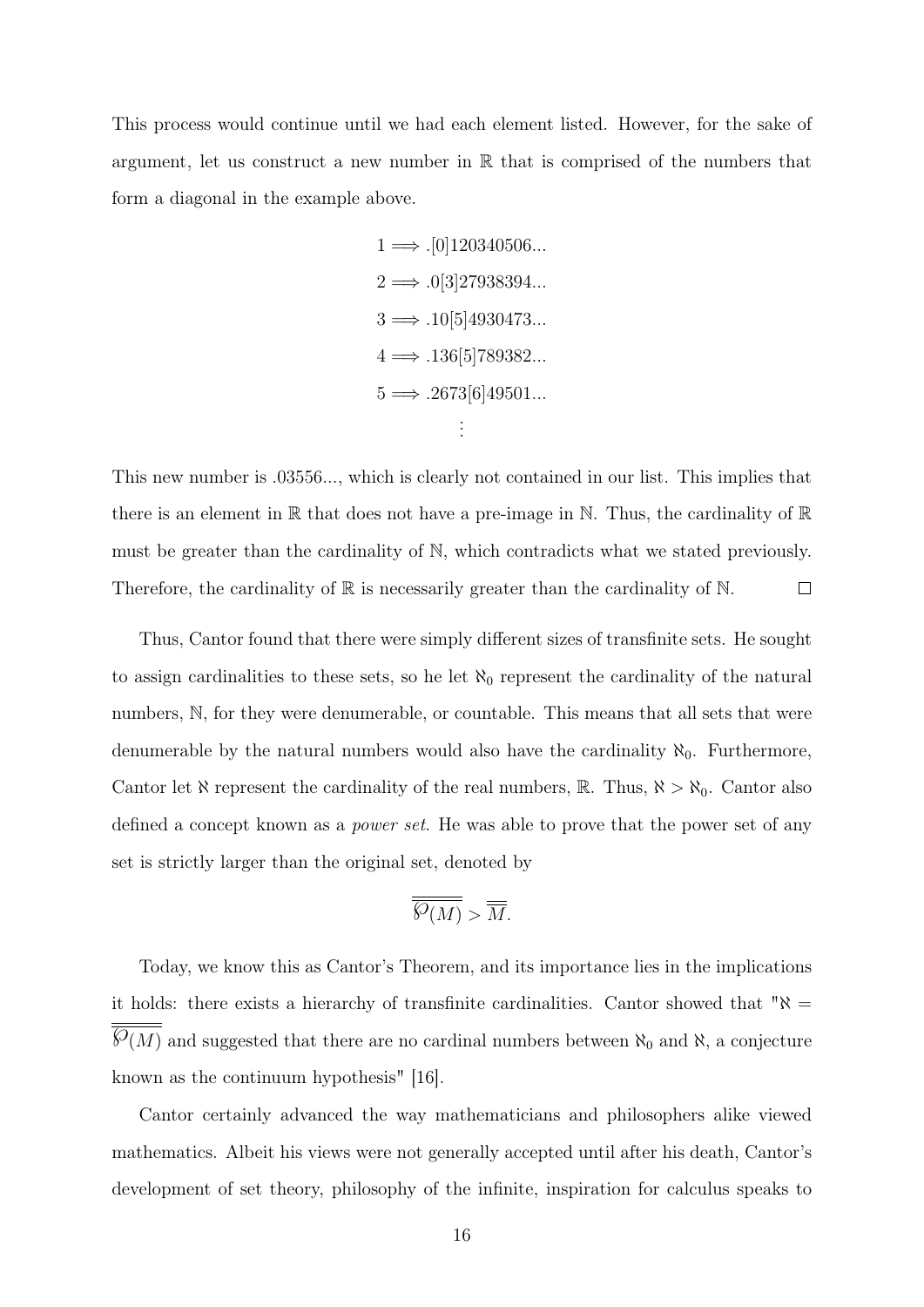This process would continue until we had each element listed. However, for the sake of argument, let us construct a new number in  $\mathbb R$  that is comprised of the numbers that form a diagonal in the example above.

> $1 \implies$  . [0] 120340506...  $2 \Longrightarrow .0[3]27938394...$  $3 \Longrightarrow .10[5]4930473...$  $4 \Longrightarrow .136[5]789382...$  $5 \Longrightarrow .2673[6]49501...$ . . .

This new number is .03556..., which is clearly not contained in our list. This implies that there is an element in  $\mathbb R$  that does not have a pre-image in  $\mathbb N$ . Thus, the cardinality of  $\mathbb R$ must be greater than the cardinality of N, which contradicts what we stated previously. Therefore, the cardinality of  $\mathbb R$  is necessarily greater than the cardinality of  $\mathbb N$ .  $\Box$ 

Thus, Cantor found that there were simply different sizes of transfinite sets. He sought to assign cardinalities to these sets, so he let  $\aleph_0$  represent the cardinality of the natural numbers, N, for they were denumerable, or countable. This means that all sets that were denumerable by the natural numbers would also have the cardinality  $\aleph_0$ . Furthermore, Cantor let  $\aleph$  represent the cardinality of the real numbers,  $\mathbb{R}$ . Thus,  $\aleph > \aleph_0$ . Cantor also defined a concept known as a power set. He was able to prove that the power set of any set is strictly larger than the original set, denoted by

$$
\overline{\overline{\mathcal{S}(M)}} > \overline{\overline{M}}.
$$

Today, we know this as Cantor's Theorem, and its importance lies in the implications it holds: there exists a hierarchy of transfinite cardinalities. Cantor showed that " $\aleph =$  $\overline{\mathcal{S}(M)}$  and suggested that there are no cardinal numbers between  $\aleph_0$  and  $\aleph$ , a conjecture known as the continuum hypothesis" [\[16\]](#page-19-1).

Cantor certainly advanced the way mathematicians and philosophers alike viewed mathematics. Albeit his views were not generally accepted until after his death, Cantor's development of set theory, philosophy of the infinite, inspiration for calculus speaks to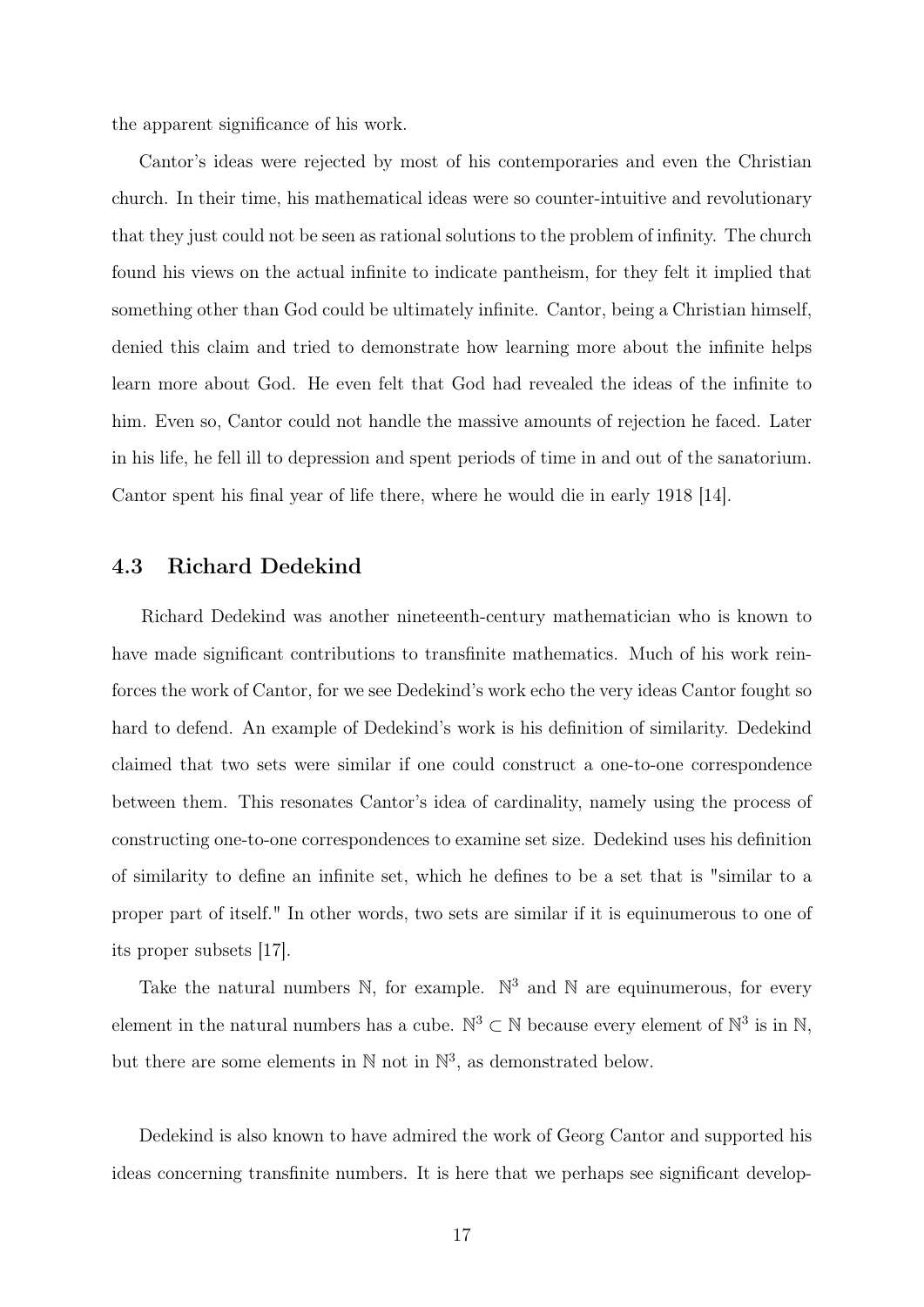the apparent significance of his work.

Cantor's ideas were rejected by most of his contemporaries and even the Christian church. In their time, his mathematical ideas were so counter-intuitive and revolutionary that they just could not be seen as rational solutions to the problem of infinity. The church found his views on the actual infinite to indicate pantheism, for they felt it implied that something other than God could be ultimately infinite. Cantor, being a Christian himself, denied this claim and tried to demonstrate how learning more about the infinite helps learn more about God. He even felt that God had revealed the ideas of the infinite to him. Even so, Cantor could not handle the massive amounts of rejection he faced. Later in his life, he fell ill to depression and spent periods of time in and out of the sanatorium. Cantor spent his final year of life there, where he would die in early 1918 [\[14\]](#page-18-9).

### 4.3 Richard Dedekind

Richard Dedekind was another nineteenth-century mathematician who is known to have made significant contributions to transfinite mathematics. Much of his work reinforces the work of Cantor, for we see Dedekind's work echo the very ideas Cantor fought so hard to defend. An example of Dedekind's work is his definition of similarity. Dedekind claimed that two sets were similar if one could construct a one-to-one correspondence between them. This resonates Cantor's idea of cardinality, namely using the process of constructing one-to-one correspondences to examine set size. Dedekind uses his definition of similarity to define an infinite set, which he defines to be a set that is "similar to a proper part of itself." In other words, two sets are similar if it is equinumerous to one of its proper subsets [\[17\]](#page-19-2).

Take the natural numbers  $\mathbb{N}$ , for example.  $\mathbb{N}^3$  and  $\mathbb{N}$  are equinumerous, for every element in the natural numbers has a cube.  $\mathbb{N}^3 \subset \mathbb{N}$  because every element of  $\mathbb{N}^3$  is in  $\mathbb{N}$ , but there are some elements in  $\mathbb N$  not in  $\mathbb N^3$ , as demonstrated below.

Dedekind is also known to have admired the work of Georg Cantor and supported his ideas concerning transfinite numbers. It is here that we perhaps see significant develop-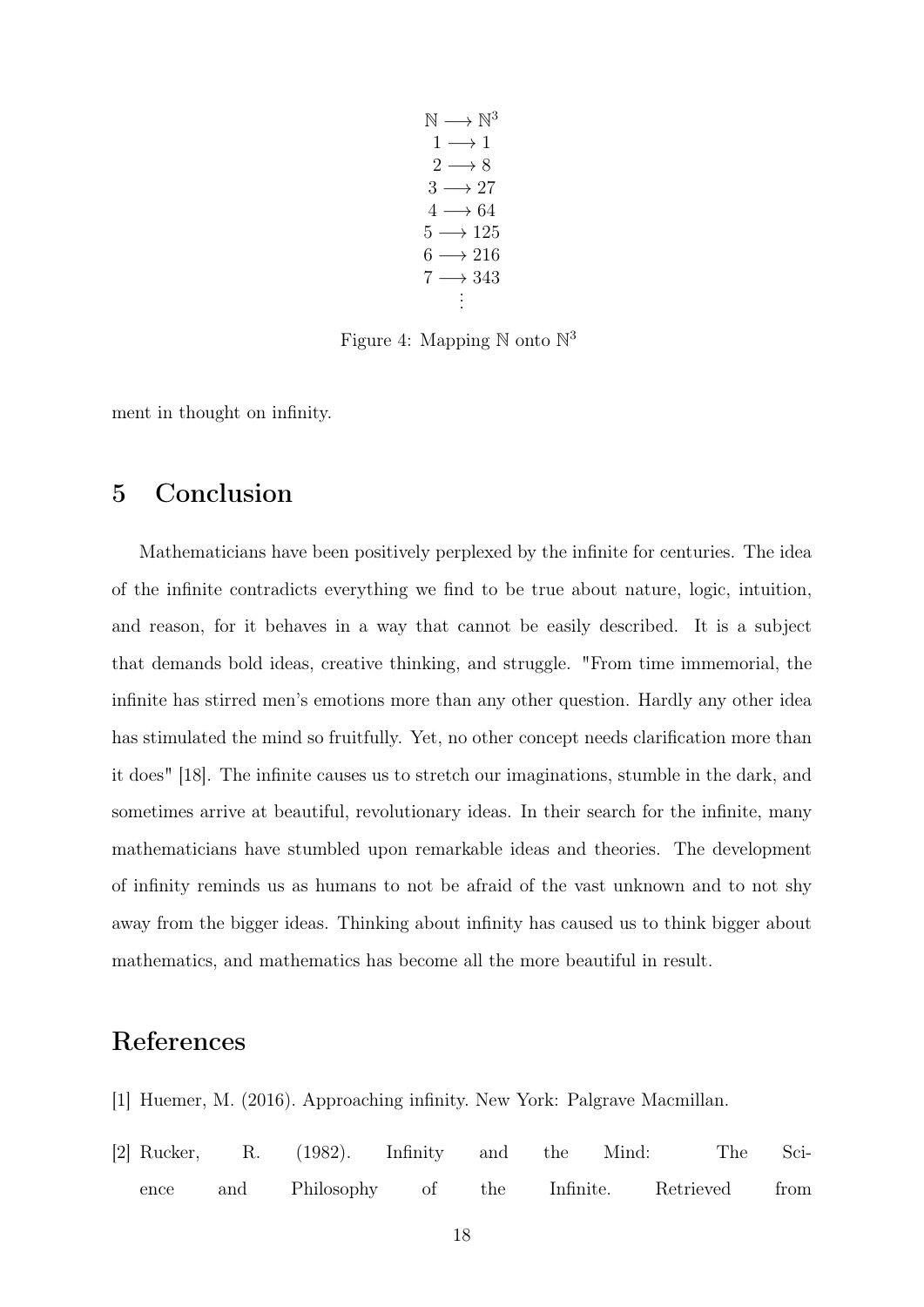$\mathbb{N} \longrightarrow \mathbb{N}^3$  $1 \longrightarrow 1$  $2 \rightarrow 8$  $3 \rightarrow 27$  $4 \rightarrow 64$  $5 \longrightarrow 125$  $6 \rightarrow 216$  $7 \longrightarrow 343$ . . .

Figure 4: Mapping  $\mathbb N$  onto  $\mathbb N^3$ 

ment in thought on infinity.

# 5 Conclusion

Mathematicians have been positively perplexed by the infinite for centuries. The idea of the infinite contradicts everything we find to be true about nature, logic, intuition, and reason, for it behaves in a way that cannot be easily described. It is a subject that demands bold ideas, creative thinking, and struggle. "From time immemorial, the infinite has stirred men's emotions more than any other question. Hardly any other idea has stimulated the mind so fruitfully. Yet, no other concept needs clarification more than it does" [\[18\]](#page-19-3). The infinite causes us to stretch our imaginations, stumble in the dark, and sometimes arrive at beautiful, revolutionary ideas. In their search for the infinite, many mathematicians have stumbled upon remarkable ideas and theories. The development of infinity reminds us as humans to not be afraid of the vast unknown and to not shy away from the bigger ideas. Thinking about infinity has caused us to think bigger about mathematics, and mathematics has become all the more beautiful in result.

# <span id="page-17-0"></span>References

- <span id="page-17-1"></span>[1] Huemer, M. (2016). Approaching infinity. New York: Palgrave Macmillan.
- [2] Rucker, R. (1982). Infinity and the Mind: The Science and Philosophy of the Infinite. Retrieved from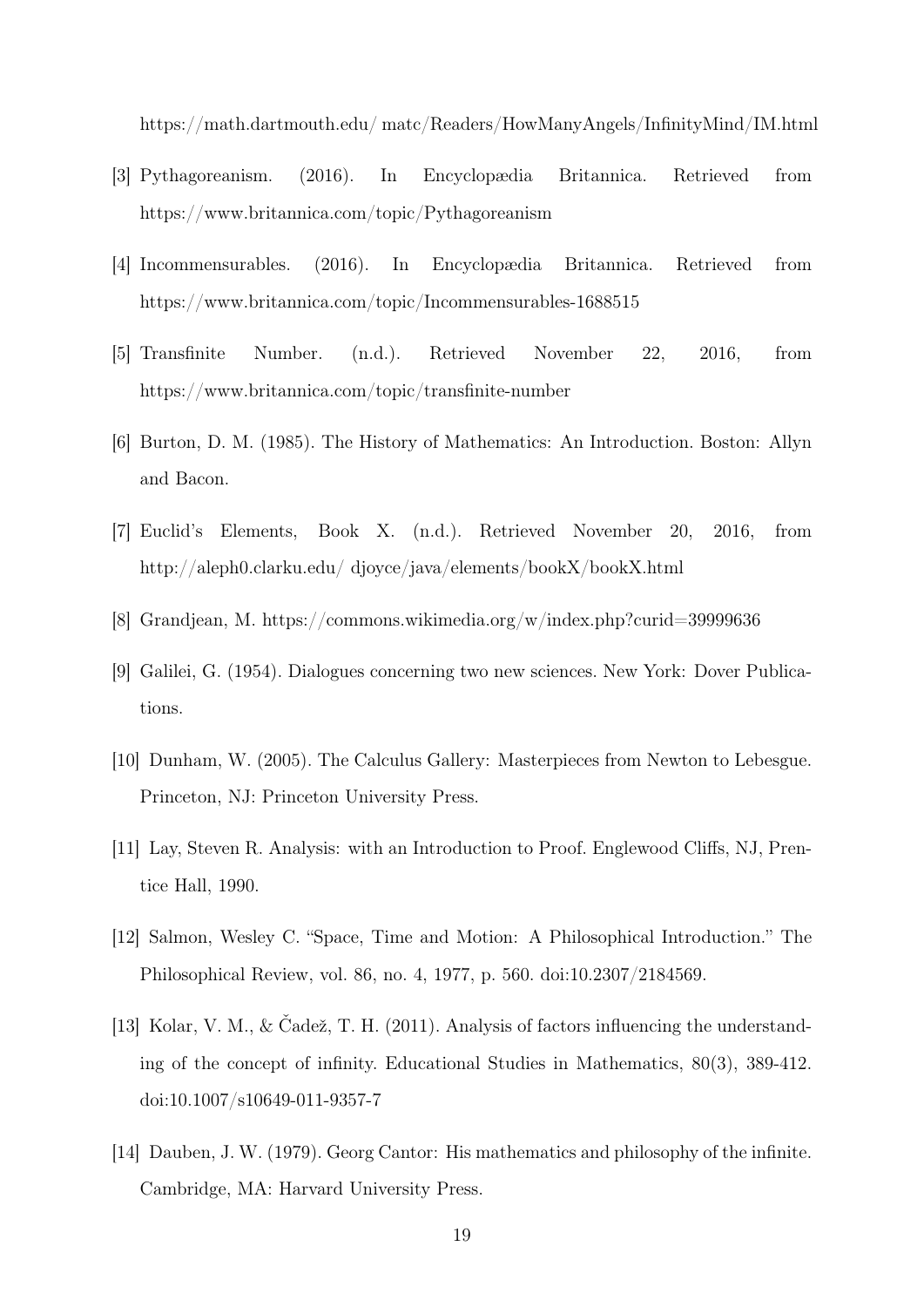https://math.dartmouth.edu/ matc/Readers/HowManyAngels/InfinityMind/IM.html

- <span id="page-18-2"></span>[3] Pythagoreanism. (2016). In Encyclopædia Britannica. Retrieved from https://www.britannica.com/topic/Pythagoreanism
- <span id="page-18-3"></span>[4] Incommensurables. (2016). In Encyclopædia Britannica. Retrieved from https://www.britannica.com/topic/Incommensurables-1688515
- <span id="page-18-4"></span>[5] Transfinite Number. (n.d.). Retrieved November 22, 2016, from https://www.britannica.com/topic/transfinite-number
- <span id="page-18-5"></span>[6] Burton, D. M. (1985). The History of Mathematics: An Introduction. Boston: Allyn and Bacon.
- <span id="page-18-6"></span>[7] Euclid's Elements, Book X. (n.d.). Retrieved November 20, 2016, from http://aleph0.clarku.edu/ djoyce/java/elements/bookX/bookX.html
- <span id="page-18-7"></span><span id="page-18-1"></span>[8] Grandjean, M. https://commons.wikimedia.org/w/index.php?curid=39999636
- [9] Galilei, G. (1954). Dialogues concerning two new sciences. New York: Dover Publications.
- <span id="page-18-8"></span>[10] Dunham, W. (2005). The Calculus Gallery: Masterpieces from Newton to Lebesgue. Princeton, NJ: Princeton University Press.
- [11] Lay, Steven R. Analysis: with an Introduction to Proof. Englewood Cliffs, NJ, Prentice Hall, 1990.
- [12] Salmon, Wesley C. "Space, Time and Motion: A Philosophical Introduction." The Philosophical Review, vol. 86, no. 4, 1977, p. 560. doi:10.2307/2184569.
- <span id="page-18-0"></span>[13] Kolar, V. M., & Čadež, T. H. (2011). Analysis of factors influencing the understanding of the concept of infinity. Educational Studies in Mathematics, 80(3), 389-412. doi:10.1007/s10649-011-9357-7
- <span id="page-18-9"></span>[14] Dauben, J. W. (1979). Georg Cantor: His mathematics and philosophy of the infinite. Cambridge, MA: Harvard University Press.